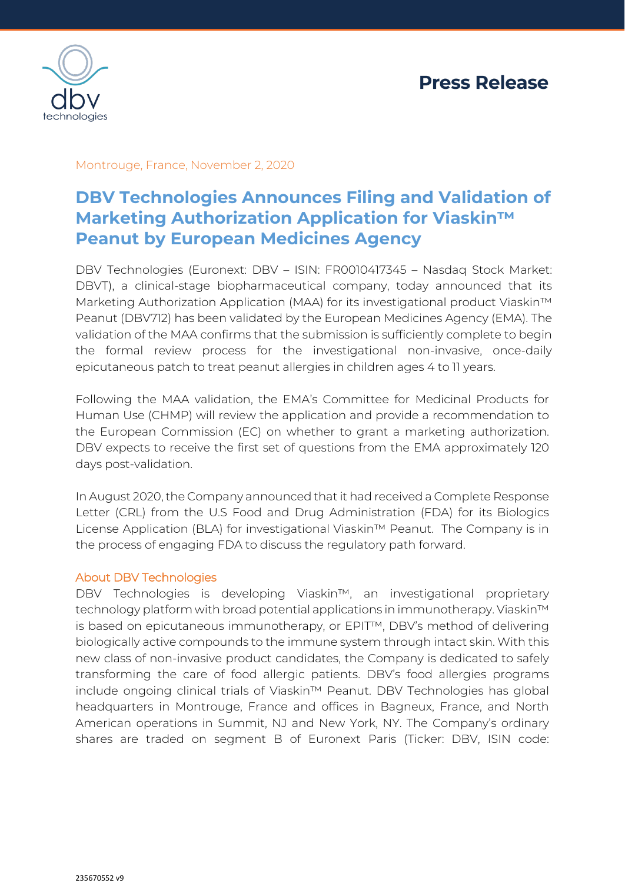

Montrouge, France, November 2, 2020

# **DBV Technologies Announces Filing and Validation of Marketing Authorization Application for Viaskin™ Peanut by European Medicines Agency**

DBV Technologies (Euronext: DBV – ISIN: FR0010417345 – Nasdaq Stock Market: DBVT), a clinical-stage biopharmaceutical company, today announced that its Marketing Authorization Application (MAA) for its investigational product Viaskin™ Peanut (DBV712) has been validated by the European Medicines Agency (EMA). The validation of the MAA confirms that the submission is sufficiently complete to begin the formal review process for the investigational non-invasive, once-daily epicutaneous patch to treat peanut allergies in children ages 4 to 11 years.

Following the MAA validation, the EMA's Committee for Medicinal Products for Human Use (CHMP) will review the application and provide a recommendation to the European Commission (EC) on whether to grant a marketing authorization. DBV expects to receive the first set of questions from the EMA approximately 120 days post-validation.

In August 2020, the Company announced that it had received a Complete Response Letter (CRL) from the U.S Food and Drug Administration (FDA) for its Biologics License Application (BLA) for investigational Viaskin™ Peanut. The Company is in the process of engaging FDA to discuss the regulatory path forward.

### About DBV Technologies

DBV Technologies is developing Viaskin™, an investigational proprietary technology platform with broad potential applications in immunotherapy. Viaskin™ is based on epicutaneous immunotherapy, or EPIT™, DBV's method of delivering biologically active compounds to the immune system through intact skin. With this new class of non-invasive product candidates, the Company is dedicated to safely transforming the care of food allergic patients. DBV's food allergies programs include ongoing clinical trials of Viaskin™ Peanut. DBV Technologies has global headquarters in Montrouge, France and offices in Bagneux, France, and North American operations in Summit, NJ and New York, NY. The Company's ordinary shares are traded on segment B of Euronext Paris (Ticker: DBV, ISIN code: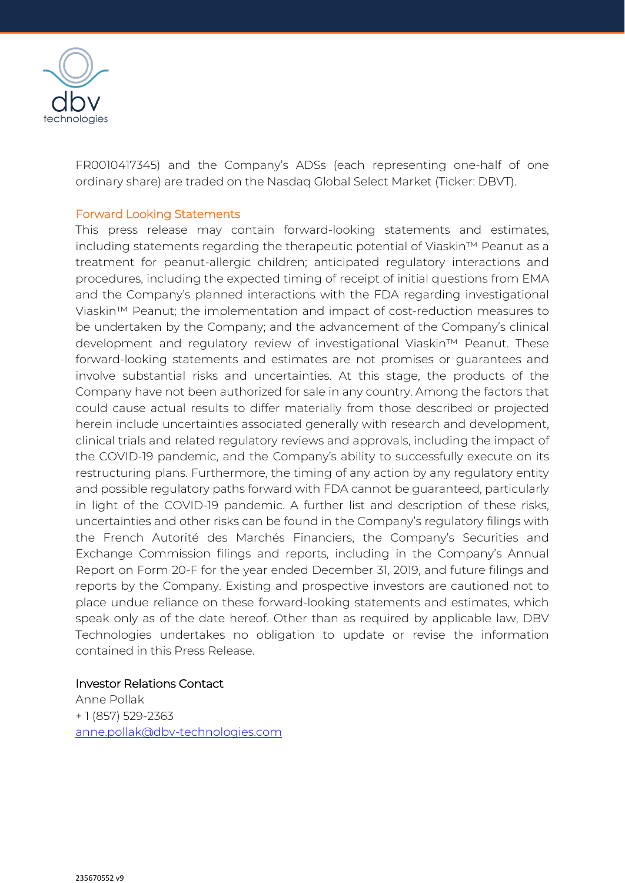

FR0010417345) and the Company's ADSs (each representing one-half of one ordinary share) are traded on the Nasdaq Global Select Market (Ticker: DBVT).

#### Forward Looking Statements

This press release may contain forward-looking statements and estimates, including statements regarding the therapeutic potential of Viaskin™ Peanut as a treatment for peanut-allergic children; anticipated regulatory interactions and procedures, including the expected timing of receipt of initial questions from EMA and the Company's planned interactions with the FDA regarding investigational Viaskin™ Peanut; the implementation and impact of cost-reduction measures to be undertaken by the Company; and the advancement of the Company's clinical development and regulatory review of investigational Viaskin™ Peanut. These forward-looking statements and estimates are not promises or guarantees and involve substantial risks and uncertainties. At this stage, the products of the Company have not been authorized for sale in any country. Among the factors that could cause actual results to differ materially from those described or projected herein include uncertainties associated generally with research and development, clinical trials and related regulatory reviews and approvals, including the impact of the COVID-19 pandemic, and the Company's ability to successfully execute on its restructuring plans. Furthermore, the timing of any action by any regulatory entity and possible regulatory paths forward with FDA cannot be guaranteed, particularly in light of the COVID-19 pandemic. A further list and description of these risks, uncertainties and other risks can be found in the Company's regulatory filings with the French Autorité des Marchés Financiers, the Company's Securities and Exchange Commission filings and reports, including in the Company's Annual Report on Form 20-F for the year ended December 31, 2019, and future filings and reports by the Company. Existing and prospective investors are cautioned not to place undue reliance on these forward-looking statements and estimates, which speak only as of the date hereof. Other than as required by applicable law, DBV Technologies undertakes no obligation to update or revise the information contained in this Press Release.

#### Investor Relations Contact Anne Pollak

+ 1 (857) 529-2363 [anne.pollak@dbv-technologies.com](mailto:anne.pollak@dbv-technologies.com)